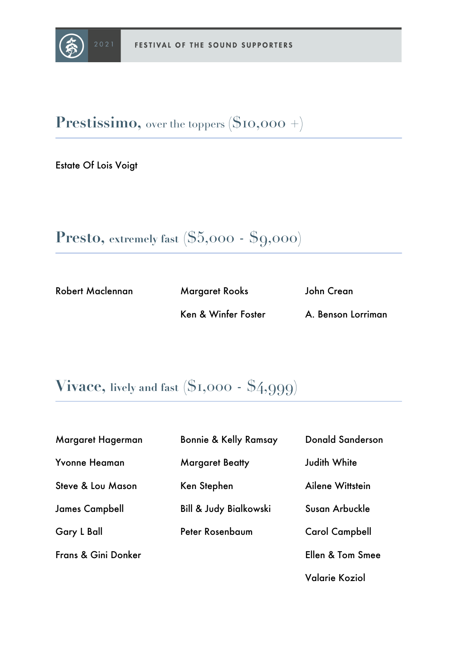

**Prestissimo,** over the toppers **(**\$10,000 +)

Estate Of Lois Voigt

```
Presto, extremely fast ($5,000 - $9,000)
```
Robert Maclennan Margaret Rooks

Ken & Winfer Foster

John Crean

A. Benson Lorriman

### **Vivace, lively and fast (**\$1,000 - \$4,999)

| Margaret Hagerman            | <b>Bonnie &amp; Kelly Ramsay</b>  | <b>Donald Sanderson</b> |
|------------------------------|-----------------------------------|-------------------------|
| <b>Yvonne Heaman</b>         | <b>Margaret Beatty</b>            | Judith White            |
| <b>Steve &amp; Lou Mason</b> | Ken Stephen                       | Ailene Wittstein        |
| <b>James Campbell</b>        | <b>Bill &amp; Judy Bialkowski</b> | Susan Arbuckle          |
| <b>Gary L Ball</b>           | Peter Rosenbaum                   | <b>Carol Campbell</b>   |
| Frans & Gini Donker          |                                   | Ellen & Tom Smee        |
|                              |                                   |                         |

Valarie Koziol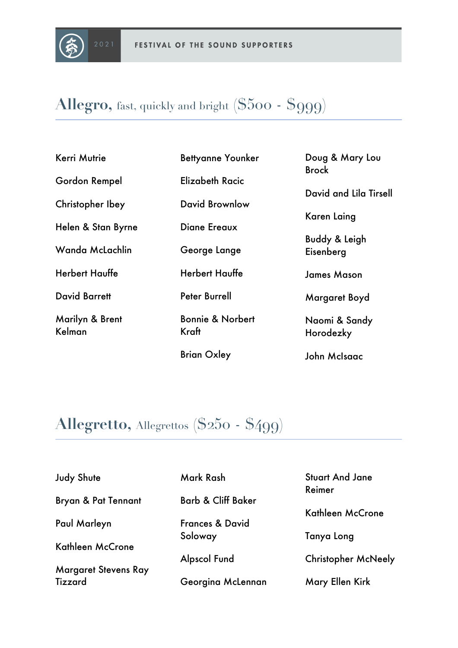

# **Allegro,** fast, quickly and bright **(**\$500 - \$999)

| <b>Kerri Mutrie</b>       | <b>Bettyanne Younker</b>             | Doug & Mary Lou<br><b>Brock</b> |
|---------------------------|--------------------------------------|---------------------------------|
| Gordon Rempel             | Elizabeth Racic                      |                                 |
| Christopher Ibey          | David Brownlow                       | David and Lila Tirsell          |
| Helen & Stan Byrne        | Diane Ereaux                         | Karen Laing                     |
|                           |                                      | <b>Buddy &amp; Leigh</b>        |
| Wanda McLachlin           | George Lange                         | Eisenberg                       |
| <b>Herbert Hauffe</b>     | <b>Herbert Hauffe</b>                | <b>James Mason</b>              |
| <b>David Barrett</b>      | <b>Peter Burrell</b>                 | Margaret Boyd                   |
| Marilyn & Brent<br>Kelman | <b>Bonnie &amp; Norbert</b><br>Kraft | Naomi & Sandy                   |
|                           |                                      | Horodezky                       |
|                           | <b>Brian Oxley</b>                   | John McIsaac                    |

# **Allegretto,** Allegrettos **(**\$250 - \$499)

| <b>Judy Shute</b>              | Mark Rash                     | <b>Stuart And Jane</b><br>Reimer |
|--------------------------------|-------------------------------|----------------------------------|
| <b>Bryan &amp; Pat Tennant</b> | <b>Barb &amp; Cliff Baker</b> | Kathleen McCrone                 |
| Paul Marleyn                   | <b>Frances &amp; David</b>    |                                  |
|                                | Soloway                       | Tanya Long                       |
| Kathleen McCrone               |                               |                                  |
|                                | <b>Alpscol Fund</b>           | <b>Christopher McNeely</b>       |
| <b>Margaret Stevens Ray</b>    |                               |                                  |
| Tizzard                        | Georgina McLennan             | Mary Ellen Kirk                  |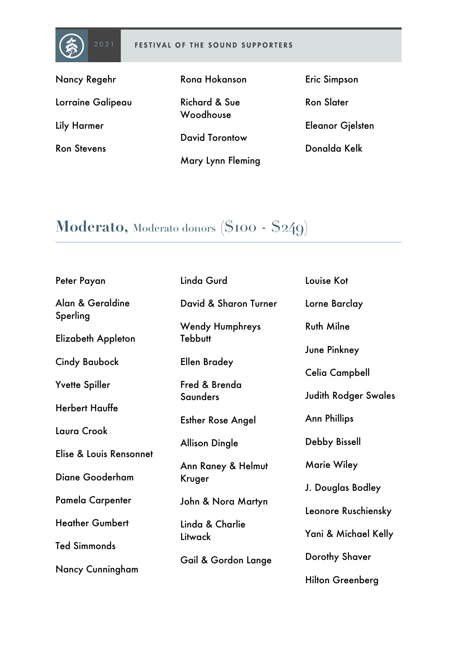

#### FESTIVAL OF THE SOUND SUPPORTERS

Lorraine Galipeau

Nancy Regehr

Lily Harmer

Ron Stevens

Rona Hokanson

Richard & Sue Woodhouse

David Torontow

Mary Lynn Fleming

Eric Simpson

Ron Slater

Eleanor Gjelsten

Donalda Kelk

# **Moderato,** Moderato donors **(**\$100 - \$249)

| Peter Payan             | Linda Gurd               | Louise Kot                  |
|-------------------------|--------------------------|-----------------------------|
| Alan & Geraldine        | David & Sharon Turner    | Lorne Barclay               |
| Sperling                | <b>Wendy Humphreys</b>   | <b>Ruth Milne</b>           |
| Elizabeth Appleton      | <b>Tebbutt</b>           | June Pinkney                |
| <b>Cindy Baubock</b>    | <b>Ellen Bradey</b>      | Celia Campbell              |
| Yvette Spiller          | Fred & Brenda            | <b>Judith Rodger Swales</b> |
| <b>Herbert Hauffe</b>   | Saunders                 |                             |
| Laura Crook             | <b>Esther Rose Angel</b> | <b>Ann Phillips</b>         |
| Elise & Louis Rensonnet | <b>Allison Dingle</b>    | Debby Bissell               |
|                         | Ann Raney & Helmut       | <b>Marie Wiley</b>          |
| Diane Gooderham         | Kruger                   | J. Douglas Bodley           |
| Pamela Carpenter        | John & Nora Martyn       | Leonore Ruschiensky         |
| <b>Heather Gumbert</b>  | Linda & Charlie          | Yani & Michael Kelly        |
| <b>Ted Simmonds</b>     | Litwack                  |                             |
| Nancy Cunningham        | Gail & Gordon Lange      | Dorothy Shaver              |
|                         |                          | <b>Hilton Greenberg</b>     |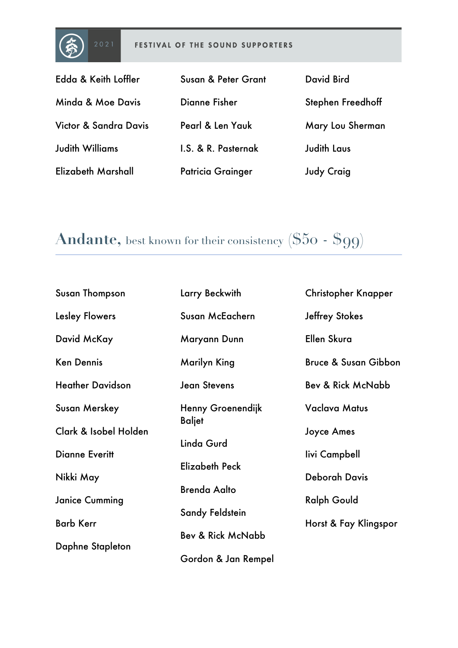

#### FESTIVAL OF THE SOUND SUPPORTERS

| Edda & Keith Loffler   | Susan & Peter Grant      | David Bird         |
|------------------------|--------------------------|--------------------|
| Minda & Moe Davis      | Dianne Fisher            | Stephen Freedhoff  |
| Victor & Sandra Davis  | Pearl & Len Yauk         | Mary Lou Sherman   |
| <b>Judith Williams</b> | I.S. & R. Pasternak      | <b>Judith Laus</b> |
| Elizabeth Marshall     | <b>Patricia Grainger</b> | <b>Judy Craig</b>  |

# **Andante,** best known for their consistency **(**\$50 - \$99)

| Susan Thompson          | Larry Beckwith               | <b>Christopher Knapper</b>      |
|-------------------------|------------------------------|---------------------------------|
| <b>Lesley Flowers</b>   | Susan McEachern              | <b>Jeffrey Stokes</b>           |
| David McKay             | Maryann Dunn                 | Ellen Skura                     |
| <b>Ken Dennis</b>       | Marilyn King                 | <b>Bruce &amp; Susan Gibbon</b> |
| <b>Heather Davidson</b> | <b>Jean Stevens</b>          | Bev & Rick McNabb               |
| <b>Susan Merskey</b>    | Henny Groenendijk            | <b>Vaclava Matus</b>            |
| Clark & Isobel Holden   | <b>Baljet</b>                | <b>Joyce Ames</b>               |
| <b>Dianne Everitt</b>   | Linda Gurd                   | livi Campbell                   |
| Nikki May               | <b>Elizabeth Peck</b>        | <b>Deborah Davis</b>            |
| <b>Janice Cumming</b>   | <b>Brenda Aalto</b>          | <b>Ralph Gould</b>              |
|                         | Sandy Feldstein              |                                 |
| <b>Barb Kerr</b>        | <b>Bev &amp; Rick McNabb</b> | Horst & Fay Klingspor           |
| Daphne Stapleton        |                              |                                 |
|                         | Gordon & Jan Rempel          |                                 |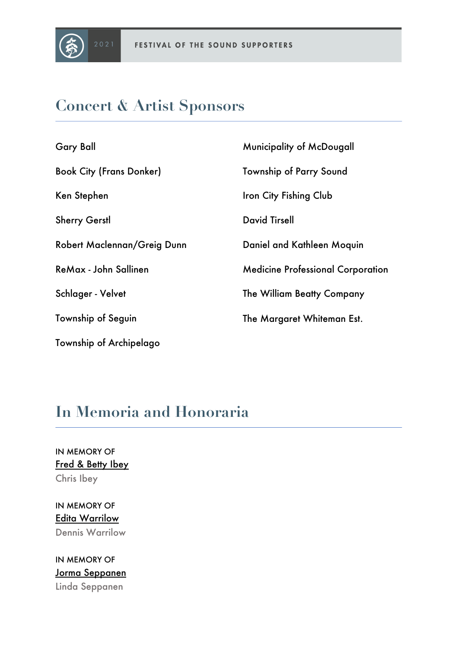

### **Concert & Artist Sponsors**

| <b>Gary Ball</b>                | Municipality of McDougall                |
|---------------------------------|------------------------------------------|
| <b>Book City (Frans Donker)</b> | <b>Township of Parry Sound</b>           |
| Ken Stephen                     | Iron City Fishing Club                   |
| <b>Sherry Gerstl</b>            | <b>David Tirsell</b>                     |
| Robert Maclennan/Greig Dunn     | Daniel and Kathleen Moquin               |
| ReMax - John Sallinen           | <b>Medicine Professional Corporation</b> |
| Schlager - Velvet               | The William Beatty Company               |
| <b>Township of Seguin</b>       | The Margaret Whiteman Est.               |
| <b>Township of Archipelago</b>  |                                          |

## **In Memoria and Honoraria**

IN MEMORY OF Fred & Betty Ibey Chris Ibey

IN MEMORY OF Edita Warrilow Dennis Warrilow

IN MEMORY OF Jorma Seppanen Linda Seppanen